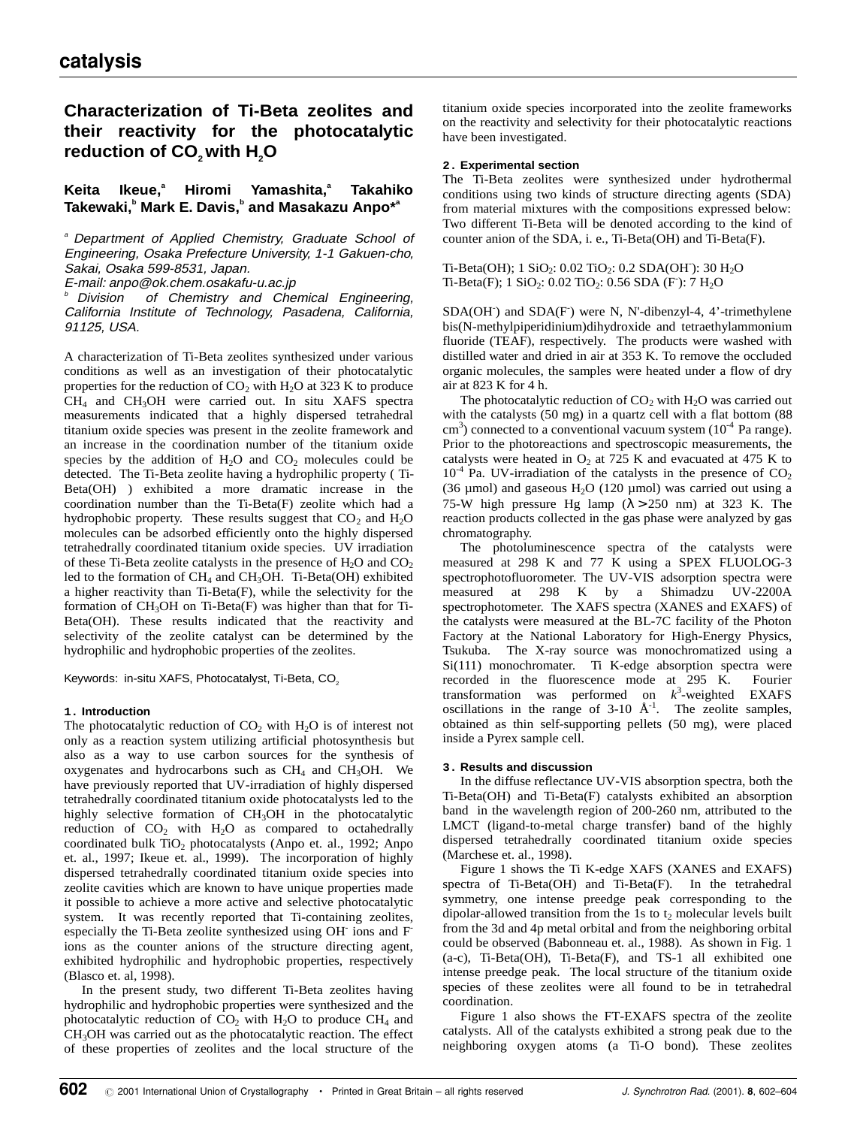# **Characterization of Ti-Beta zeolites and their reactivity for the photocatalytic** reduction of CO<sub>2</sub> with H<sub>2</sub>O

#### **Keita Ikeue.**<sup>a</sup> **Hiromi Yamashita.**<sup>a</sup>  **Takahiko**  $\mathsf{Takewaki,}^{\mathsf{b}}$  Mark E. Davis, $^{\mathsf{b}}$  and Masakazu Anpo $^{\star\mathsf{a}}$

<sup>a</sup> Department of Applied Chemistry, Graduate School of Engineering, Osaka Prefecture University, 1-1 Gakuen-cho, Sakai, Osaka 599-8531, Japan.

E-mail: anpo@ok.chem.osakafu-u.ac.jp

Division of Chemistry and Chemical Engineering, California Institute of Technology, Pasadena, California, 91125, USA.

A characterization of Ti-Beta zeolites synthesized under various conditions as well as an investigation of their photocatalytic properties for the reduction of  $CO<sub>2</sub>$  with H<sub>2</sub>O at 323 K to produce CH4 and CH3OH were carried out. In situ XAFS spectra measurements indicated that a highly dispersed tetrahedral titanium oxide species was present in the zeolite framework and an increase in the coordination number of the titanium oxide species by the addition of  $H_2O$  and  $CO_2$  molecules could be detected. The Ti-Beta zeolite having a hydrophilic property ( Ti-Beta(OH) ) exhibited a more dramatic increase in the coordination number than the Ti-Beta(F) zeolite which had a hydrophobic property. These results suggest that  $CO<sub>2</sub>$  and  $H<sub>2</sub>O$ molecules can be adsorbed efficiently onto the highly dispersed tetrahedrally coordinated titanium oxide species. UV irradiation of these Ti-Beta zeolite catalysts in the presence of  $H_2O$  and  $CO<sub>2</sub>$ led to the formation of  $CH_4$  and  $CH_3OH$ . Ti-Beta(OH) exhibited a higher reactivity than Ti-Beta(F), while the selectivity for the formation of  $CH<sub>3</sub>OH$  on Ti-Beta(F) was higher than that for Ti-Beta(OH). These results indicated that the reactivity and selectivity of the zeolite catalyst can be determined by the hydrophilic and hydrophobic properties of the zeolites.

Keywords: in-situ XAFS, Photocatalyst, Ti-Beta, CO<sub>2</sub>

# **1. Introduction**

The photocatalytic reduction of  $CO<sub>2</sub>$  with  $H<sub>2</sub>O$  is of interest not only as a reaction system utilizing artificial photosynthesis but also as a way to use carbon sources for the synthesis of oxygenates and hydrocarbons such as  $CH<sub>4</sub>$  and  $CH<sub>3</sub>OH$ . We have previously reported that UV-irradiation of highly dispersed tetrahedrally coordinated titanium oxide photocatalysts led to the highly selective formation of CH<sub>3</sub>OH in the photocatalytic reduction of  $CO<sub>2</sub>$  with  $H<sub>2</sub>O$  as compared to octahedrally coordinated bulk  $TiO<sub>2</sub>$  photocatalysts (Anpo et. al., 1992; Anpo et. al., 1997; Ikeue et. al., 1999). The incorporation of highly dispersed tetrahedrally coordinated titanium oxide species into zeolite cavities which are known to have unique properties made it possible to achieve a more active and selective photocatalytic system. It was recently reported that Ti-containing zeolites, especially the Ti-Beta zeolite synthesized using OH ions and F ions as the counter anions of the structure directing agent, exhibited hydrophilic and hydrophobic properties, respectively (Blasco et. al, 1998).

In the present study, two different Ti-Beta zeolites having hydrophilic and hydrophobic properties were synthesized and the photocatalytic reduction of  $CO<sub>2</sub>$  with H<sub>2</sub>O to produce  $CH<sub>4</sub>$  and CH3OH was carried out as the photocatalytic reaction. The effect of these properties of zeolites and the local structure of the titanium oxide species incorporated into the zeolite frameworks on the reactivity and selectivity for their photocatalytic reactions have been investigated.

# **2. Experimental section**

The Ti-Beta zeolites were synthesized under hydrothermal conditions using two kinds of structure directing agents (SDA) from material mixtures with the compositions expressed below: Two different Ti-Beta will be denoted according to the kind of counter anion of the SDA, i. e., Ti-Beta(OH) and Ti-Beta(F).

# $Ti-Beta(OH)$ ; 1  $SiO_2$ : 0.02  $TiO_2$ : 0.2  $SDA(OH)$ : 30  $H_2O$  $Ti-Beta(F); 1 SiO<sub>2</sub>: 0.02 TiO<sub>2</sub>: 0.56 SDA (F): 7 H<sub>2</sub>O$

SDA(OH<sup>-</sup>) and SDA(F<sup>-</sup>) were N, N'-dibenzyl-4, 4'-trimethylene bis(N-methylpiperidinium)dihydroxide and tetraethylammonium fluoride (TEAF), respectively. The products were washed with distilled water and dried in air at 353 K. To remove the occluded organic molecules, the samples were heated under a flow of dry air at 823 K for 4 h.

The photocatalytic reduction of  $CO<sub>2</sub>$  with  $H<sub>2</sub>O$  was carried out with the catalysts (50 mg) in a quartz cell with a flat bottom (88  $\text{cm}^3$ ) connected to a conventional vacuum system (10<sup>-4</sup> Pa range). Prior to the photoreactions and spectroscopic measurements, the catalysts were heated in  $O_2$  at 725 K and evacuated at 475 K to  $10^{-4}$  Pa. UV-irradiation of the catalysts in the presence of CO<sub>2</sub> (36  $\mu$ mol) and gaseous H<sub>2</sub>O (120  $\mu$ mol) was carried out using a 75-W high pressure Hg lamp  $(\lambda > 250 \text{ nm})$  at 323 K. The reaction products collected in the gas phase were analyzed by gas chromatography.

The photoluminescence spectra of the catalysts were measured at 298 K and 77 K using a SPEX FLUOLOG-3 spectrophotofluorometer. The UV-VIS adsorption spectra were measured at 298 K by a Shimadzu UV-2200A spectrophotometer. The XAFS spectra (XANES and EXAFS) of the catalysts were measured at the BL-7C facility of the Photon Factory at the National Laboratory for High-Energy Physics, Tsukuba. The X-ray source was monochromatized using a Si(111) monochromater. Ti K-edge absorption spectra were recorded in the fluorescence mode at 295 K. Fourier transformation was performed on *k* 3 -weighted EXAFS oscillations in the range of  $3-10$   $\AA$ <sup>-1</sup>. The zeolite samples, obtained as thin self-supporting pellets (50 mg), were placed inside a Pyrex sample cell.

# **3. Results and discussion**

In the diffuse reflectance UV-VIS absorption spectra, both the Ti-Beta(OH) and Ti-Beta(F) catalysts exhibited an absorption band in the wavelength region of 200-260 nm, attributed to the LMCT (ligand-to-metal charge transfer) band of the highly dispersed tetrahedrally coordinated titanium oxide species (Marchese et. al., 1998).

Figure 1 shows the Ti K-edge XAFS (XANES and EXAFS) spectra of Ti-Beta(OH) and Ti-Beta(F). In the tetrahedral symmetry, one intense preedge peak corresponding to the dipolar-allowed transition from the 1s to  $t_2$  molecular levels built from the 3d and 4p metal orbital and from the neighboring orbital could be observed (Babonneau et. al., 1988). As shown in Fig. 1 (a-c), Ti-Beta(OH), Ti-Beta(F), and TS-1 all exhibited one intense preedge peak. The local structure of the titanium oxide species of these zeolites were all found to be in tetrahedral coordination.

Figure 1 also shows the FT-EXAFS spectra of the zeolite catalysts. All of the catalysts exhibited a strong peak due to the neighboring oxygen atoms (a Ti-O bond). These zeolites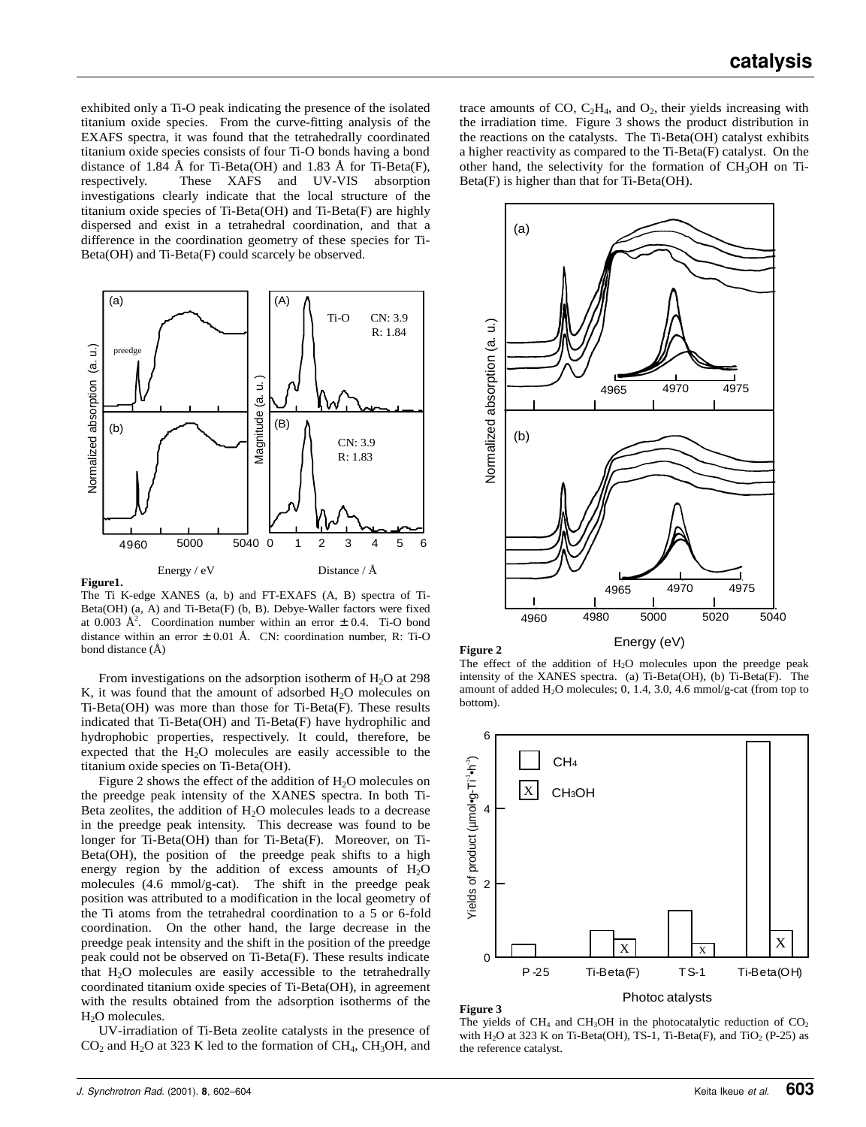exhibited only a Ti-O peak indicating the presence of the isolated titanium oxide species. From the curve-fitting analysis of the EXAFS spectra, it was found that the tetrahedrally coordinated titanium oxide species consists of four Ti-O bonds having a bond distance of 1.84 Å for Ti-Beta(OH) and 1.83 Å for Ti-Beta(F), respectively. These XAFS and UV-VIS absorption investigations clearly indicate that the local structure of the titanium oxide species of Ti-Beta(OH) and Ti-Beta(F) are highly dispersed and exist in a tetrahedral coordination, and that a difference in the coordination geometry of these species for Ti-Beta(OH) and Ti-Beta(F) could scarcely be observed.



The Ti K-edge XANES (a, b) and FT-EXAFS (A, B) spectra of Ti-Beta(OH) (a, A) and Ti-Beta(F) (b, B). Debye-Waller factors were fixed at 0.003  $\AA^2$ . Coordination number within an error  $\pm$  0.4. Ti-O bond distance within an error  $\pm$  0.01 Å. CN: coordination number, R: Ti-O bond distance (Å)

From investigations on the adsorption isotherm of  $H_2O$  at 298 K, it was found that the amount of adsorbed  $H_2O$  molecules on Ti-Beta(OH) was more than those for Ti-Beta(F). These results indicated that Ti-Beta(OH) and Ti-Beta(F) have hydrophilic and hydrophobic properties, respectively. It could, therefore, be expected that the  $H_2O$  molecules are easily accessible to the titanium oxide species on Ti-Beta(OH).

Figure 2 shows the effect of the addition of  $H_2O$  molecules on the preedge peak intensity of the XANES spectra. In both Ti-Beta zeolites, the addition of  $H<sub>2</sub>O$  molecules leads to a decrease in the preedge peak intensity. This decrease was found to be longer for Ti-Beta(OH) than for Ti-Beta(F). Moreover, on Ti-Beta(OH), the position of the preedge peak shifts to a high energy region by the addition of excess amounts of  $H_2O$ molecules (4.6 mmol/g-cat). The shift in the preedge peak position was attributed to a modification in the local geometry of the Ti atoms from the tetrahedral coordination to a 5 or 6-fold coordination. On the other hand, the large decrease in the preedge peak intensity and the shift in the position of the preedge peak could not be observed on Ti-Beta(F). These results indicate that  $H<sub>2</sub>O$  molecules are easily accessible to the tetrahedrally coordinated titanium oxide species of Ti-Beta(OH), in agreement with the results obtained from the adsorption isotherms of the  $H<sub>2</sub>O$  molecules.

UV-irradiation of Ti-Beta zeolite catalysts in the presence of  $CO<sub>2</sub>$  and H<sub>2</sub>O at 323 K led to the formation of CH<sub>4</sub>, CH<sub>3</sub>OH, and

trace amounts of CO,  $C_2H_4$ , and  $O_2$ , their yields increasing with the irradiation time. Figure 3 shows the product distribution in the reactions on the catalysts. The Ti-Beta(OH) catalyst exhibits a higher reactivity as compared to the Ti-Beta(F) catalyst. On the other hand, the selectivity for the formation of CH3OH on Ti-Beta(F) is higher than that for Ti-Beta(OH).



**Figure 2**

Energy (eV)

The effect of the addition of  $H_2O$  molecules upon the preedge peak intensity of the XANES spectra. (a) Ti-Beta(OH), (b) Ti-Beta(F). The amount of added  $H_2O$  molecules; 0, 1.4, 3.0, 4.6 mmol/g-cat (from top to bottom).



## **Figure 3**

The vields of  $CH_4$  and  $CH_3OH$  in the photocatalytic reduction of  $CO<sub>2</sub>$ with  $H_2O$  at 323 K on Ti-Beta(OH), TS-1, Ti-Beta(F), and TiO<sub>2</sub> (P-25) as the reference catalyst.